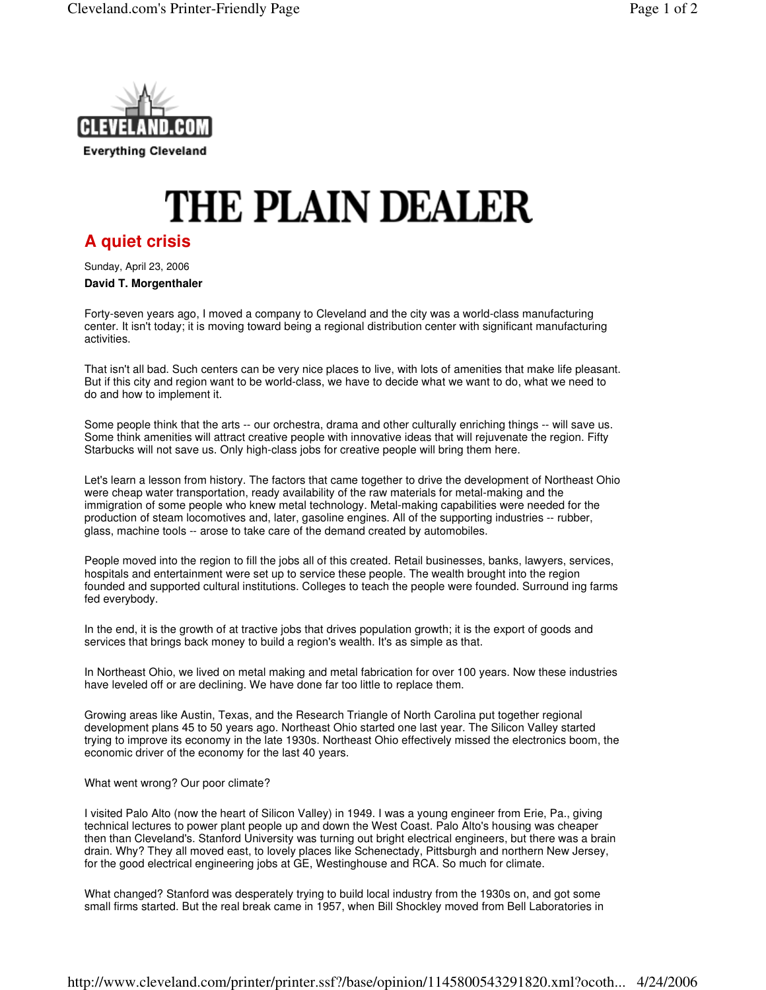

## **THE PLAIN DEALER**

## **A quiet crisis**

Sunday, April 23, 2006

## **David T. Morgenthaler**

Forty-seven years ago, I moved a company to Cleveland and the city was a world-class manufacturing center. It isn't today; it is moving toward being a regional distribution center with significant manufacturing activities.

That isn't all bad. Such centers can be very nice places to live, with lots of amenities that make life pleasant. But if this city and region want to be world-class, we have to decide what we want to do, what we need to do and how to implement it.

Some people think that the arts -- our orchestra, drama and other culturally enriching things -- will save us. Some think amenities will attract creative people with innovative ideas that will rejuvenate the region. Fifty Starbucks will not save us. Only high-class jobs for creative people will bring them here.

Let's learn a lesson from history. The factors that came together to drive the development of Northeast Ohio were cheap water transportation, ready availability of the raw materials for metal-making and the immigration of some people who knew metal technology. Metal-making capabilities were needed for the production of steam locomotives and, later, gasoline engines. All of the supporting industries -- rubber, glass, machine tools -- arose to take care of the demand created by automobiles.

People moved into the region to fill the jobs all of this created. Retail businesses, banks, lawyers, services, hospitals and entertainment were set up to service these people. The wealth brought into the region founded and supported cultural institutions. Colleges to teach the people were founded. Surround ing farms fed everybody.

In the end, it is the growth of at tractive jobs that drives population growth; it is the export of goods and services that brings back money to build a region's wealth. It's as simple as that.

In Northeast Ohio, we lived on metal making and metal fabrication for over 100 years. Now these industries have leveled off or are declining. We have done far too little to replace them.

Growing areas like Austin, Texas, and the Research Triangle of North Carolina put together regional development plans 45 to 50 years ago. Northeast Ohio started one last year. The Silicon Valley started trying to improve its economy in the late 1930s. Northeast Ohio effectively missed the electronics boom, the economic driver of the economy for the last 40 years.

## What went wrong? Our poor climate?

I visited Palo Alto (now the heart of Silicon Valley) in 1949. I was a young engineer from Erie, Pa., giving technical lectures to power plant people up and down the West Coast. Palo Alto's housing was cheaper then than Cleveland's. Stanford University was turning out bright electrical engineers, but there was a brain drain. Why? They all moved east, to lovely places like Schenectady, Pittsburgh and northern New Jersey, for the good electrical engineering jobs at GE, Westinghouse and RCA. So much for climate.

What changed? Stanford was desperately trying to build local industry from the 1930s on, and got some small firms started. But the real break came in 1957, when Bill Shockley moved from Bell Laboratories in